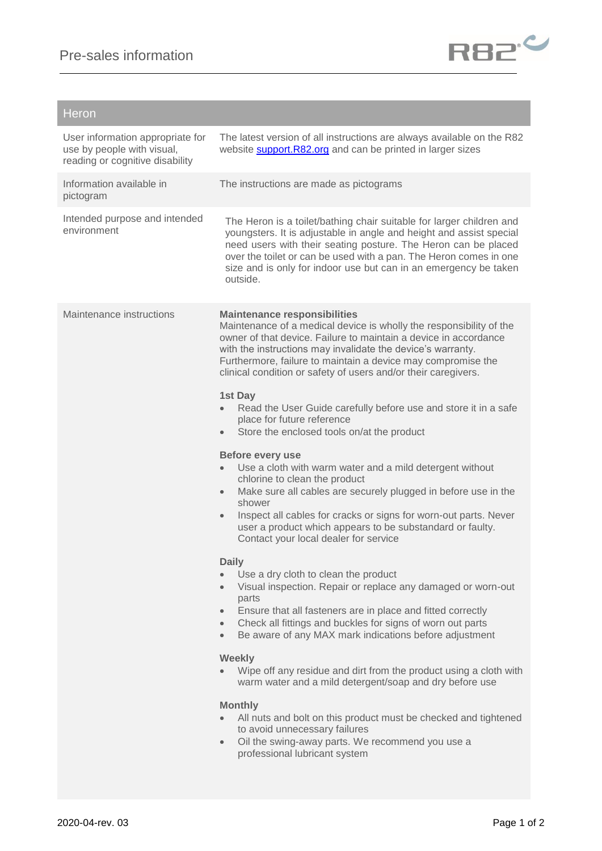

## Heron

| User information appropriate for<br>use by people with visual,<br>reading or cognitive disability | The latest version of all instructions are always available on the R82<br>website <b>support.R82.org</b> and can be printed in larger sizes                                                                                                                                                                                                                                                                                                                                                                                                                                                                                                                                                                                                       |
|---------------------------------------------------------------------------------------------------|---------------------------------------------------------------------------------------------------------------------------------------------------------------------------------------------------------------------------------------------------------------------------------------------------------------------------------------------------------------------------------------------------------------------------------------------------------------------------------------------------------------------------------------------------------------------------------------------------------------------------------------------------------------------------------------------------------------------------------------------------|
| Information available in<br>pictogram                                                             | The instructions are made as pictograms                                                                                                                                                                                                                                                                                                                                                                                                                                                                                                                                                                                                                                                                                                           |
| Intended purpose and intended<br>environment                                                      | The Heron is a toilet/bathing chair suitable for larger children and<br>youngsters. It is adjustable in angle and height and assist special<br>need users with their seating posture. The Heron can be placed<br>over the toilet or can be used with a pan. The Heron comes in one<br>size and is only for indoor use but can in an emergency be taken<br>outside.                                                                                                                                                                                                                                                                                                                                                                                |
| Maintenance instructions                                                                          | <b>Maintenance responsibilities</b><br>Maintenance of a medical device is wholly the responsibility of the<br>owner of that device. Failure to maintain a device in accordance<br>with the instructions may invalidate the device's warranty.<br>Furthermore, failure to maintain a device may compromise the<br>clinical condition or safety of users and/or their caregivers.<br>1st Day<br>Read the User Guide carefully before use and store it in a safe<br>place for future reference<br>Store the enclosed tools on/at the product<br>$\bullet$                                                                                                                                                                                            |
|                                                                                                   | Before every use<br>Use a cloth with warm water and a mild detergent without<br>chlorine to clean the product<br>Make sure all cables are securely plugged in before use in the<br>$\bullet$<br>shower<br>Inspect all cables for cracks or signs for worn-out parts. Never<br>$\bullet$<br>user a product which appears to be substandard or faulty.<br>Contact your local dealer for service                                                                                                                                                                                                                                                                                                                                                     |
|                                                                                                   | <b>Daily</b><br>Use a dry cloth to clean the product<br>Visual inspection. Repair or replace any damaged or worn-out<br>$\bullet$<br>parts<br>Ensure that all fasteners are in place and fitted correctly<br>$\bullet$<br>Check all fittings and buckles for signs of worn out parts<br>$\bullet$<br>Be aware of any MAX mark indications before adjustment<br>$\bullet$<br><b>Weekly</b><br>Wipe off any residue and dirt from the product using a cloth with<br>warm water and a mild detergent/soap and dry before use<br><b>Monthly</b><br>All nuts and bolt on this product must be checked and tightened<br>to avoid unnecessary failures<br>Oil the swing-away parts. We recommend you use a<br>$\bullet$<br>professional lubricant system |